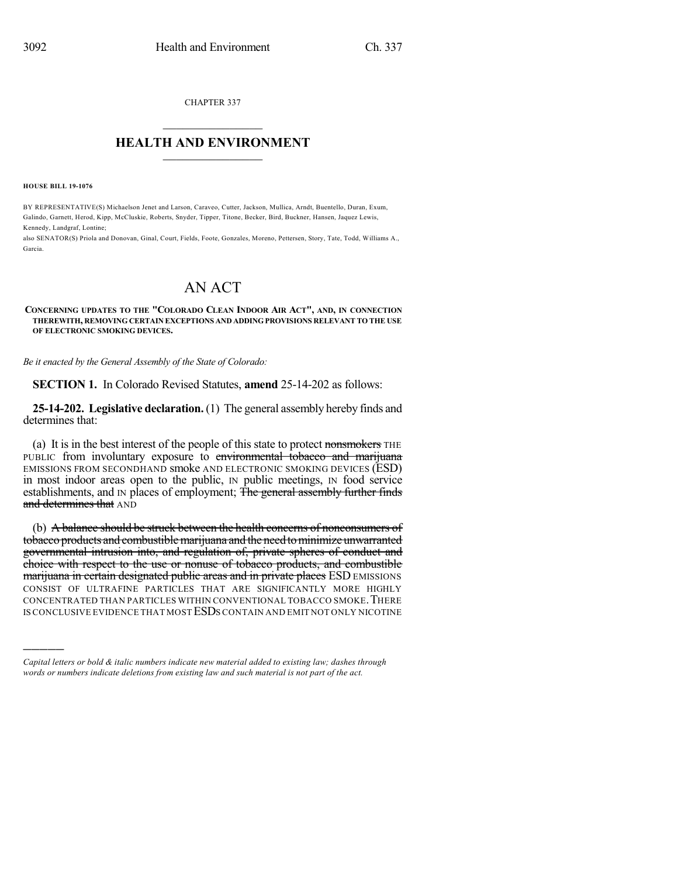CHAPTER 337  $\mathcal{L}_\text{max}$  . The set of the set of the set of the set of the set of the set of the set of the set of the set of the set of the set of the set of the set of the set of the set of the set of the set of the set of the set

## **HEALTH AND ENVIRONMENT**  $\_$

**HOUSE BILL 19-1076**

)))))

BY REPRESENTATIVE(S) Michaelson Jenet and Larson, Caraveo, Cutter, Jackson, Mullica, Arndt, Buentello, Duran, Exum, Galindo, Garnett, Herod, Kipp, McCluskie, Roberts, Snyder, Tipper, Titone, Becker, Bird, Buckner, Hansen, Jaquez Lewis, Kennedy, Landgraf, Lontine;

also SENATOR(S) Priola and Donovan, Ginal, Court, Fields, Foote, Gonzales, Moreno, Pettersen, Story, Tate, Todd, Williams A., Garcia.

## AN ACT

**CONCERNING UPDATES TO THE "COLORADO CLEAN INDOOR AIR ACT", AND, IN CONNECTION THEREWITH, REMOVING CERTAIN EXCEPTIONS AND ADDINGPROVISIONS RELEVANT TO THE USE OF ELECTRONIC SMOKING DEVICES.**

*Be it enacted by the General Assembly of the State of Colorado:*

**SECTION 1.** In Colorado Revised Statutes, **amend** 25-14-202 as follows:

**25-14-202. Legislative declaration.** (1) The general assembly hereby finds and determines that:

(a) It is in the best interest of the people of this state to protect nonsmokers THE PUBLIC from involuntary exposure to environmental tobacco and marijuana EMISSIONS FROM SECONDHAND smoke AND ELECTRONIC SMOKING DEVICES (ESD) in most indoor areas open to the public, IN public meetings, IN food service establishments, and IN places of employment; The general assembly further finds and determines that AND

(b) A balance should be struck between the health concerns of nonconsumers of tobacco products and combustiblemarijuana and the need tominimize unwarranted governmental intrusion into, and regulation of, private spheres of conduct and choice with respect to the use or nonuse of tobacco products, and combustible marijuana in certain designated public areas and in private places ESD EMISSIONS CONSIST OF ULTRAFINE PARTICLES THAT ARE SIGNIFICANTLY MORE HIGHLY CONCENTRATED THAN PARTICLES WITHIN CONVENTIONAL TOBACCO SMOKE.THERE IS CONCLUSIVE EVIDENCE THAT MOST ESDS CONTAIN AND EMIT NOT ONLY NICOTINE

*Capital letters or bold & italic numbers indicate new material added to existing law; dashes through words or numbers indicate deletions from existing law and such material is not part of the act.*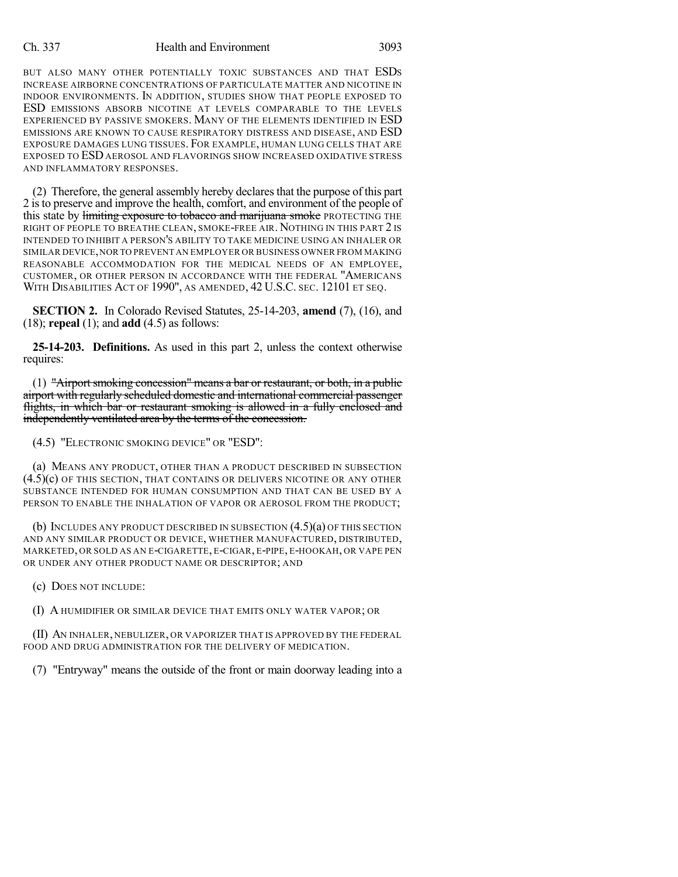## Ch. 337 Health and Environment 3093

BUT ALSO MANY OTHER POTENTIALLY TOXIC SUBSTANCES AND THAT ESDS INCREASE AIRBORNE CONCENTRATIONS OF PARTICULATE MATTER AND NICOTINE IN INDOOR ENVIRONMENTS. IN ADDITION, STUDIES SHOW THAT PEOPLE EXPOSED TO ESD EMISSIONS ABSORB NICOTINE AT LEVELS COMPARABLE TO THE LEVELS EXPERIENCED BY PASSIVE SMOKERS. MANY OF THE ELEMENTS IDENTIFIED IN ESD EMISSIONS ARE KNOWN TO CAUSE RESPIRATORY DISTRESS AND DISEASE, AND ESD EXPOSURE DAMAGES LUNG TISSUES. FOR EXAMPLE, HUMAN LUNG CELLS THAT ARE EXPOSED TO ESDAEROSOL AND FLAVORINGS SHOW INCREASED OXIDATIVE STRESS AND INFLAMMATORY RESPONSES.

(2) Therefore, the general assembly hereby declaresthat the purpose of this part 2 isto preserve and improve the health, comfort, and environment of the people of this state by limiting exposure to tobacco and marijuana smoke PROTECTING THE RIGHT OF PEOPLE TO BREATHE CLEAN, SMOKE-FREE AIR. NOTHING IN THIS PART 2 IS INTENDED TO INHIBIT A PERSON'S ABILITY TO TAKE MEDICINE USING AN INHALER OR SIMILAR DEVICE,NORTO PREVENT AN EMPLOYER OR BUSINESS OWNER FROM MAKING REASONABLE ACCOMMODATION FOR THE MEDICAL NEEDS OF AN EMPLOYEE, CUSTOMER, OR OTHER PERSON IN ACCORDANCE WITH THE FEDERAL "AMERICANS WITH DISABILITIES ACT OF 1990", AS AMENDED, 42 U.S.C. SEC. 12101 ET SEQ.

**SECTION 2.** In Colorado Revised Statutes, 25-14-203, **amend** (7), (16), and (18); **repeal** (1); and **add** (4.5) as follows:

**25-14-203. Definitions.** As used in this part 2, unless the context otherwise requires:

(1) "Airport smoking concession" means a bar or restaurant, or both, in a public airport with regularly scheduled domestic and international commercial passenger flights, in which bar or restaurant smoking is allowed in a fully enclosed and independently ventilated area by the terms of the concession.

(4.5) "ELECTRONIC SMOKING DEVICE" OR "ESD":

(a) MEANS ANY PRODUCT, OTHER THAN A PRODUCT DESCRIBED IN SUBSECTION (4.5)(c) OF THIS SECTION, THAT CONTAINS OR DELIVERS NICOTINE OR ANY OTHER SUBSTANCE INTENDED FOR HUMAN CONSUMPTION AND THAT CAN BE USED BY A PERSON TO ENABLE THE INHALATION OF VAPOR OR AEROSOL FROM THE PRODUCT;

(b) INCLUDES ANY PRODUCT DESCRIBED IN SUBSECTION (4.5)(a) OF THIS SECTION AND ANY SIMILAR PRODUCT OR DEVICE, WHETHER MANUFACTURED, DISTRIBUTED, MARKETED, OR SOLD AS AN E-CIGARETTE, E-CIGAR, E-PIPE, E-HOOKAH, OR VAPE PEN OR UNDER ANY OTHER PRODUCT NAME OR DESCRIPTOR; AND

(c) DOES NOT INCLUDE:

(I) A HUMIDIFIER OR SIMILAR DEVICE THAT EMITS ONLY WATER VAPOR; OR

(II) AN INHALER, NEBULIZER, OR VAPORIZER THAT IS APPROVED BY THE FEDERAL FOOD AND DRUG ADMINISTRATION FOR THE DELIVERY OF MEDICATION.

(7) "Entryway" means the outside of the front or main doorway leading into a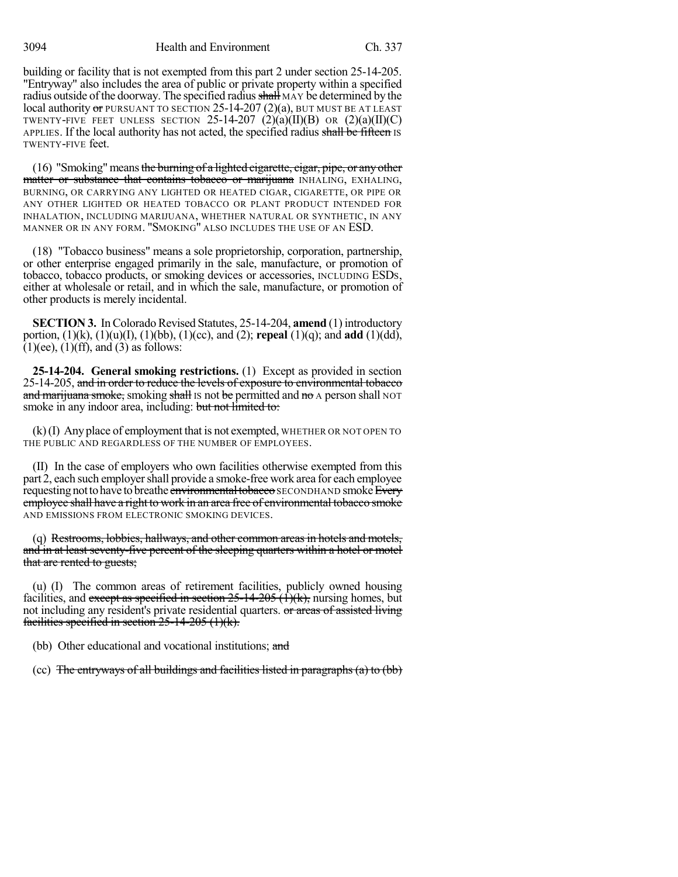3094 Health and Environment Ch. 337

building or facility that is not exempted from this part 2 under section 25-14-205. "Entryway" also includes the area of public or private property within a specified radius outside of the doorway. The specified radius shall MAY be determined by the local authority or PURSUANT TO SECTION  $25$ -14-207 (2)(a), BUT MUST BE AT LEAST TWENTY-FIVE FEET UNLESS SECTION 25-14-207  $(2)(a)(II)(B)$  OR  $(2)(a)(II)(C)$ APPLIES. If the local authority has not acted, the specified radius shall be fifteen IS TWENTY-FIVE feet.

 $(16)$  "Smoking" means the burning of a lighted cigarette, cigar, pipe, or any other matter or substance that contains tobacco or marijuana INHALING, EXHALING, BURNING, OR CARRYING ANY LIGHTED OR HEATED CIGAR, CIGARETTE, OR PIPE OR ANY OTHER LIGHTED OR HEATED TOBACCO OR PLANT PRODUCT INTENDED FOR INHALATION, INCLUDING MARIJUANA, WHETHER NATURAL OR SYNTHETIC, IN ANY MANNER OR IN ANY FORM. "SMOKING" ALSO INCLUDES THE USE OF AN ESD.

(18) "Tobacco business" means a sole proprietorship, corporation, partnership, or other enterprise engaged primarily in the sale, manufacture, or promotion of tobacco, tobacco products, or smoking devices or accessories, INCLUDING ESDS, either at wholesale or retail, and in which the sale, manufacture, or promotion of other products is merely incidental.

**SECTION 3.** In Colorado Revised Statutes, 25-14-204, **amend** (1) introductory portion, (1)(k), (1)(u)(I), (1)(bb), (1)(cc), and (2); **repeal** (1)(q); and **add** (1)(dd),  $(1)(ee)$ ,  $(1)(ff)$ , and  $(3)$  as follows:

**25-14-204. General smoking restrictions.** (1) Except as provided in section 25-14-205, and in order to reduce the levels of exposure to environmental tobacco and marijuana smoke, smoking shall Is not be permitted and no A person shall NOT smoke in any indoor area, including: but not limited to:

(k)(I) Any place of employment that is not exempted, WHETHER OR NOT OPEN TO THE PUBLIC AND REGARDLESS OF THE NUMBER OF EMPLOYEES.

(II) In the case of employers who own facilities otherwise exempted from this part 2, each such employer shall provide a smoke-free work area for each employee requesting not to have to breathe environmental tobacco SECONDHAND smoke Every employee shall have a right to work in an area free of environmental tobacco smoke AND EMISSIONS FROM ELECTRONIC SMOKING DEVICES.

(q) Restrooms, lobbies, hallways, and other common areas in hotels and motels, and in at least seventy-five percent of the sleeping quarters within a hotel or motel that are rented to guests;

(u) (I) The common areas of retirement facilities, publicly owned housing facilities, and except as specified in section  $25$ -14-205 (1)(k), nursing homes, but not including any resident's private residential quarters. or areas of assisted living facilities specified in section 25-14-205 (1)(k).

(bb) Other educational and vocational institutions; and

(cc) The entryways of all buildings and facilities listed in paragraphs (a) to (bb)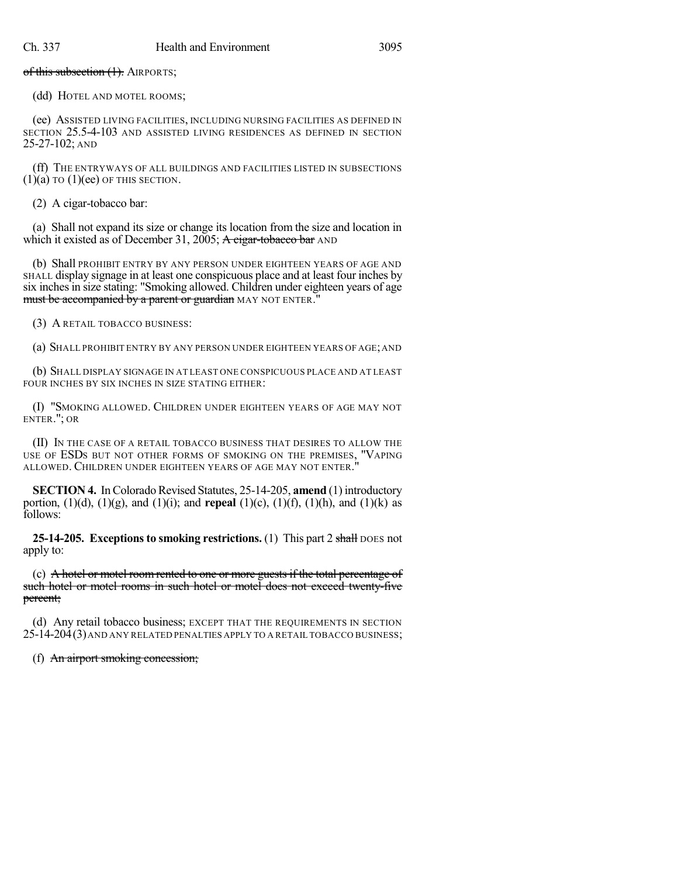of this subsection (1). AIRPORTS;

(dd) HOTEL AND MOTEL ROOMS;

(ee) ASSISTED LIVING FACILITIES, INCLUDING NURSING FACILITIES AS DEFINED IN SECTION 25.5-4-103 AND ASSISTED LIVING RESIDENCES AS DEFINED IN SECTION 25-27-102; AND

(ff) THE ENTRYWAYS OF ALL BUILDINGS AND FACILITIES LISTED IN SUBSECTIONS  $(1)(a)$  TO  $(1)(ee)$  OF THIS SECTION.

(2) A cigar-tobacco bar:

(a) Shall not expand its size or change its location from the size and location in which it existed as of December 31, 2005; A cigar-tobacco bar AND

(b) Shall PROHIBIT ENTRY BY ANY PERSON UNDER EIGHTEEN YEARS OF AGE AND SHALL display signage in at least one conspicuous place and at least four inches by six inches in size stating: "Smoking allowed. Children under eighteen years of age must be accompanied by a parent or guardian MAY NOT ENTER."

(3) A RETAIL TOBACCO BUSINESS:

(a) SHALL PROHIBIT ENTRY BY ANY PERSON UNDER EIGHTEEN YEARS OF AGE;AND

(b) SHALL DISPLAY SIGNAGE IN AT LEAST ONE CONSPICUOUS PLACE AND AT LEAST FOUR INCHES BY SIX INCHES IN SIZE STATING EITHER:

(I) "SMOKING ALLOWED. CHILDREN UNDER EIGHTEEN YEARS OF AGE MAY NOT ENTER."; OR

(II) IN THE CASE OF A RETAIL TOBACCO BUSINESS THAT DESIRES TO ALLOW THE USE OF ESDS BUT NOT OTHER FORMS OF SMOKING ON THE PREMISES, "VAPING ALLOWED. CHILDREN UNDER EIGHTEEN YEARS OF AGE MAY NOT ENTER."

**SECTION 4.** In Colorado Revised Statutes, 25-14-205, **amend** (1) introductory portion, (1)(d), (1)(g), and (1)(i); and **repeal** (1)(c), (1)(f), (1)(h), and (1)(k) as follows:

**25-14-205. Exceptions to smoking restrictions.** (1) This part 2 shall DOES not apply to:

(c) A hotel or motel room rented to one or more guests if the total percentage of such hotel or motel rooms in such hotel or motel does not exceed twenty-five percent;

(d) Any retail tobacco business; EXCEPT THAT THE REQUIREMENTS IN SECTION 25-14-204(3)AND ANY RELATED PENALTIES APPLY TO A RETAIL TOBACCO BUSINESS;

(f) An airport smoking concession;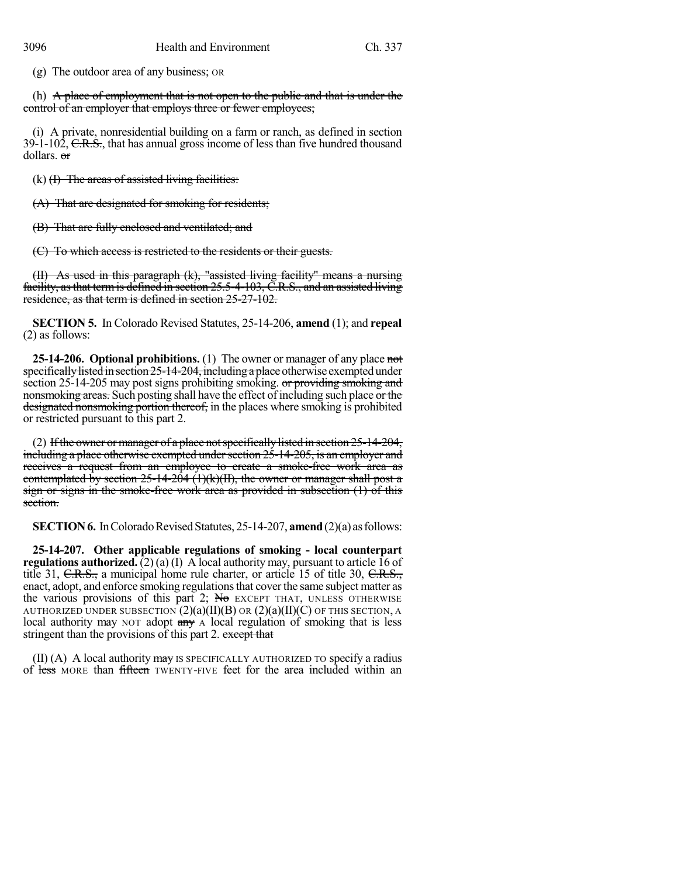(g) The outdoor area of any business; OR

(h) A place of employment that is not open to the public and that is under the control of an employer that employs three or fewer employees;

(i) A private, nonresidential building on a farm or ranch, as defined in section  $39-1-102$ , C.R.S., that has annual gross income of less than five hundred thousand dollars. or

 $(k)$  (H) The areas of assisted living facilities:

(A) That are designated for smoking for residents;

(B) That are fully enclosed and ventilated; and

(C) To which access is restricted to the residents or their guests.

(II) As used in this paragraph (k), "assisted living facility" means a nursing facility, asthat termis defined in section 25.5-4-103, C.R.S., and an assisted living residence, as that term is defined in section 25-27-102.

**SECTION 5.** In Colorado Revised Statutes, 25-14-206, **amend** (1); and **repeal** (2) as follows:

**25-14-206. Optional prohibitions.** (1) The owner or manager of any place not specifically listed in section  $25$ -14-204, including a place otherwise exempted under section 25-14-205 may post signs prohibiting smoking. or providing smoking and nonsmoking areas. Such posting shall have the effect of including such place or the designated nonsmoking portion thereof, in the places where smoking is prohibited or restricted pursuant to this part 2.

(2) If the owner or manager of a place not specifically listed in section  $25$ -14-204, including a place otherwise exempted under section  $25$ -14-205, is an employer and receives a request from an employee to create a smoke-free work area as contemplated by section  $25$ -14-204 (1)(k)(II), the owner or manager shall post a sign or signs in the smoke-free work area as provided in subsection (1) of this section.

**SECTION 6.** In Colorado Revised Statutes, 25-14-207, **amend** (2)(a) as follows:

**25-14-207. Other applicable regulations of smoking - local counterpart regulations authorized.**  $(2)(a)(I)$  A local authority may, pursuant to article 16 of title 31, C.R.S., a municipal home rule charter, or article 15 of title 30, C.R.S., enact, adopt, and enforce smoking regulations that cover the same subject matter as the various provisions of this part 2;  $N\sigma$  EXCEPT THAT, UNLESS OTHERWISE AUTHORIZED UNDER SUBSECTION  $(2)(a)(II)(B)$  OR  $(2)(a)(II)(C)$  OF THIS SECTION, A local authority may NOT adopt  $\frac{day}{y}$  A local regulation of smoking that is less stringent than the provisions of this part 2. except that

 $(II)$  (A) A local authority may is SPECIFICALLY AUTHORIZED TO specify a radius of less MORE than fifteen TWENTY-FIVE feet for the area included within an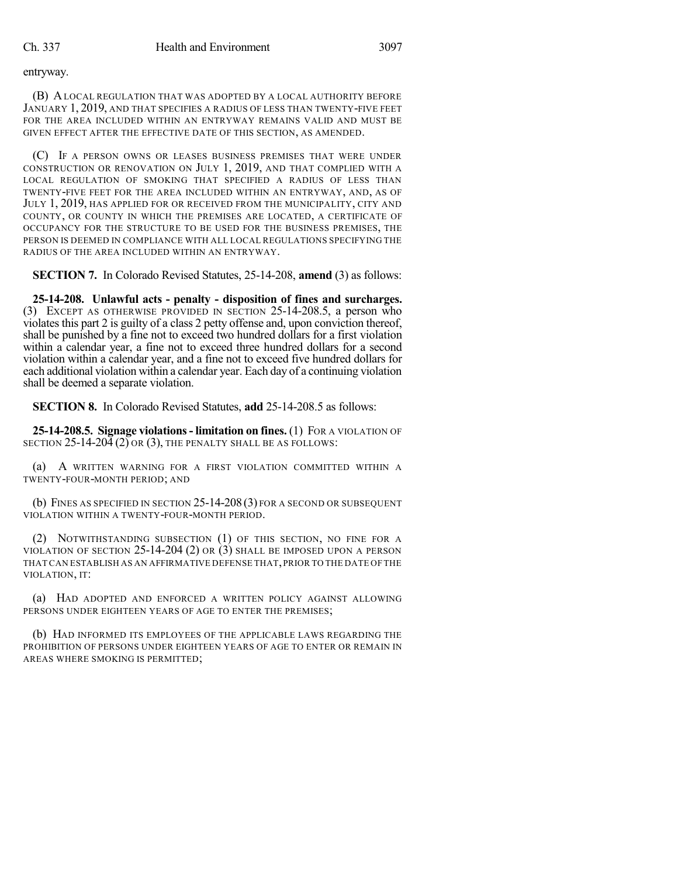entryway.

(B) ALOCAL REGULATION THAT WAS ADOPTED BY A LOCAL AUTHORITY BEFORE JANUARY 1, 2019, AND THAT SPECIFIES A RADIUS OF LESS THAN TWENTY-FIVE FEET FOR THE AREA INCLUDED WITHIN AN ENTRYWAY REMAINS VALID AND MUST BE GIVEN EFFECT AFTER THE EFFECTIVE DATE OF THIS SECTION, AS AMENDED.

(C) IF A PERSON OWNS OR LEASES BUSINESS PREMISES THAT WERE UNDER CONSTRUCTION OR RENOVATION ON JULY 1, 2019, AND THAT COMPLIED WITH A LOCAL REGULATION OF SMOKING THAT SPECIFIED A RADIUS OF LESS THAN TWENTY-FIVE FEET FOR THE AREA INCLUDED WITHIN AN ENTRYWAY, AND, AS OF JULY 1, 2019, HAS APPLIED FOR OR RECEIVED FROM THE MUNICIPALITY, CITY AND COUNTY, OR COUNTY IN WHICH THE PREMISES ARE LOCATED, A CERTIFICATE OF OCCUPANCY FOR THE STRUCTURE TO BE USED FOR THE BUSINESS PREMISES, THE PERSON IS DEEMED IN COMPLIANCE WITH ALL LOCAL REGULATIONS SPECIFYING THE RADIUS OF THE AREA INCLUDED WITHIN AN ENTRYWAY.

**SECTION 7.** In Colorado Revised Statutes, 25-14-208, **amend** (3) as follows:

**25-14-208. Unlawful acts - penalty - disposition of fines and surcharges.** (3) EXCEPT AS OTHERWISE PROVIDED IN SECTION 25-14-208.5, a person who violates this part 2 is guilty of a class 2 petty offense and, upon conviction thereof, shall be punished by a fine not to exceed two hundred dollars for a first violation within a calendar year, a fine not to exceed three hundred dollars for a second violation within a calendar year, and a fine not to exceed five hundred dollars for each additional violation within a calendar year. Each day of a continuing violation shall be deemed a separate violation.

**SECTION 8.** In Colorado Revised Statutes, **add** 25-14-208.5 as follows:

**25-14-208.5. Signage violations- limitation on fines.** (1) FOR A VIOLATION OF SECTION  $25-14-20\overline{4}$  (2) OR (3), THE PENALTY SHALL BE AS FOLLOWS:

(a) A WRITTEN WARNING FOR A FIRST VIOLATION COMMITTED WITHIN A TWENTY-FOUR-MONTH PERIOD; AND

(b) FINES AS SPECIFIED IN SECTION 25-14-208 (3) FOR A SECOND OR SUBSEQUENT VIOLATION WITHIN A TWENTY-FOUR-MONTH PERIOD.

(2) NOTWITHSTANDING SUBSECTION (1) OF THIS SECTION, NO FINE FOR A VIOLATION OF SECTION 25-14-204 (2) OR (3) SHALL BE IMPOSED UPON A PERSON THATCAN ESTABLISH AS AN AFFIRMATIVE DEFENSE THAT,PRIOR TO THE DATE OF THE VIOLATION, IT:

(a) HAD ADOPTED AND ENFORCED A WRITTEN POLICY AGAINST ALLOWING PERSONS UNDER EIGHTEEN YEARS OF AGE TO ENTER THE PREMISES;

(b) HAD INFORMED ITS EMPLOYEES OF THE APPLICABLE LAWS REGARDING THE PROHIBITION OF PERSONS UNDER EIGHTEEN YEARS OF AGE TO ENTER OR REMAIN IN AREAS WHERE SMOKING IS PERMITTED;